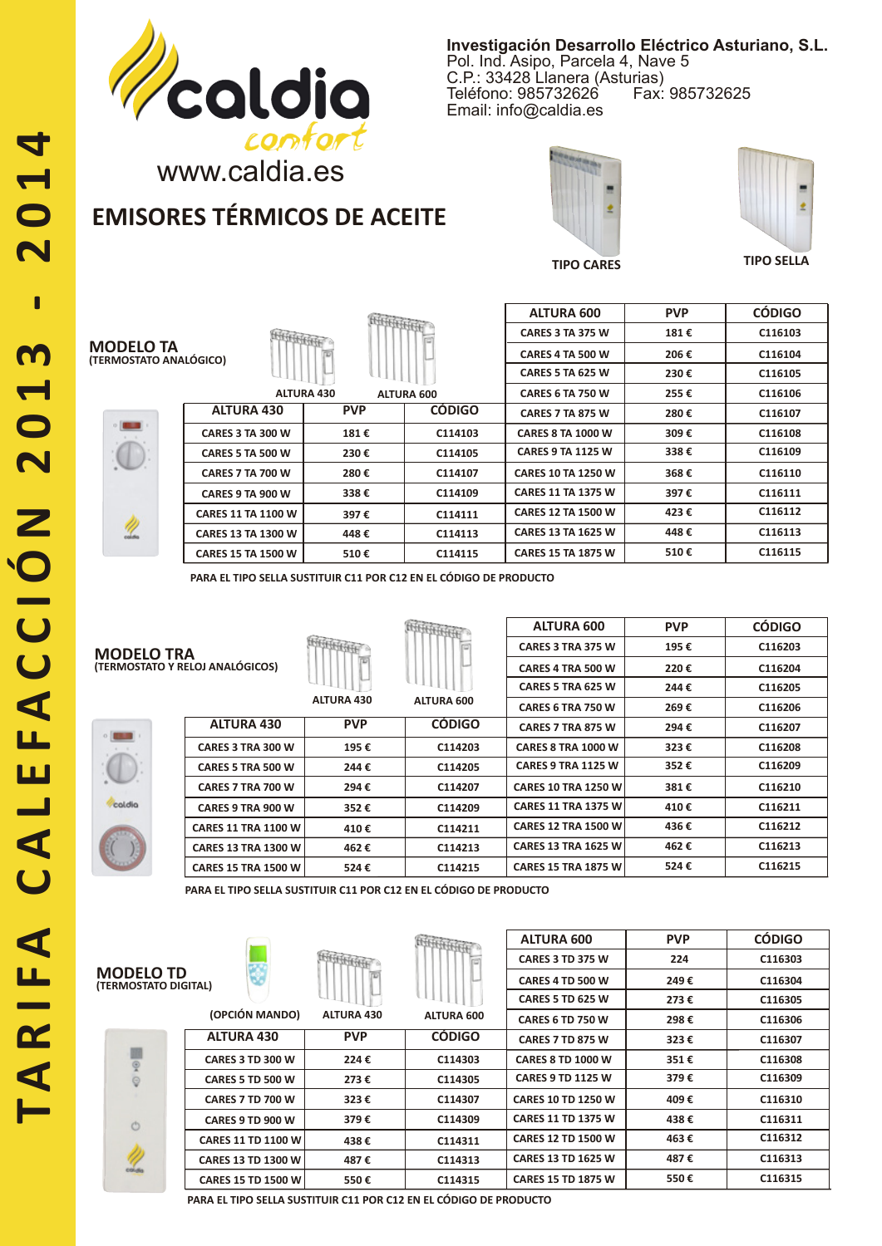

**Investigación Desarrollo Eléctrico Asturiano, S.L.** Pol. Ind. Asipo, Parcela 4, Nave 5 C.P.: 33428 Llanera (Asturias) Teléfono: 985732626 Email: info@caldia.es

> **181 € 206 €**

**ALTURA 600 PVP CÓDIGO**

## www.caldia.es

# **EMISORES TÉRMICOS DE ACEITE**





**CARES 3 TA 375 W CARES 4 TA 500 W**

**TIPO CARES TIPO SELLA**

**C116103 C116104**



|                           |                   |                   | <b>CARES 5 TA 625 W</b>   | 230€ | C116105 |
|---------------------------|-------------------|-------------------|---------------------------|------|---------|
|                           | <b>ALTURA 430</b> | <b>ALTURA 600</b> | <b>CARES 6 TA 750 W</b>   | 255€ | C116106 |
| <b>ALTURA 430</b>         | <b>PVP</b>        | <b>CÓDIGO</b>     | <b>CARES 7 TA 875 W</b>   | 280€ | C116107 |
| CARES 3 TA 300 W          | 181€              | C114103           | <b>CARES 8 TA 1000 W</b>  | 309€ | C116108 |
| <b>CARES 5 TA 500 W</b>   | 230€              | C114105           | <b>CARES 9 TA 1125 W</b>  | 338€ | C116109 |
| <b>CARES 7 TA 700 W</b>   | 280€              | C114107           | <b>CARES 10 TA 1250 W</b> | 368€ | C116110 |
| CARES 9 TA 900 W          | 338€              | C114109           | <b>CARES 11 TA 1375 W</b> | 397€ | C116111 |
| <b>CARES 11 TA 1100 W</b> | 397€              | C114111           | <b>CARES 12 TA 1500 W</b> | 423€ | C116112 |
| <b>CARES 13 TA 1300 W</b> | 448€              | C114113           | <b>CARES 13 TA 1625 W</b> | 448€ | C116113 |
| <b>CARES 15 TA 1500 W</b> | 510€              | C114115           | <b>CARES 15 TA 1875 W</b> | 510€ | C116115 |

**PARA EL TIPO SELLA SUSTITUIR C11 POR C12 EN EL CÓDIGO DE PRODUCTO**

| $\circ$<br>٠<br>۱ |        |  |
|-------------------|--------|--|
| ٠<br>٠            | ï<br>٠ |  |
|                   | ×      |  |
| coldia            |        |  |
| ٠<br>٦            |        |  |

| <b>MODELO TRA</b><br>(TERMOSTATO Y RELOJ ANALÓGICOS) |                            |                   |                   | <b>ALTURA 600</b>          | <b>PVP</b> | <b>CÓDIGO</b> |
|------------------------------------------------------|----------------------------|-------------------|-------------------|----------------------------|------------|---------------|
|                                                      |                            |                   |                   | CARES 3 TRA 375 W          | 195€       | C116203       |
|                                                      |                            |                   |                   | CARES 4 TRA 500 W          | 220€       | C116204       |
|                                                      |                            |                   |                   | CARES 5 TRA 625 W          | 244€       | C116205       |
|                                                      |                            | <b>ALTURA 430</b> | <b>ALTURA 600</b> | CARES 6 TRA 750 W          | 269€       | C116206       |
|                                                      | <b>ALTURA 430</b>          | <b>PVP</b>        | <b>CÓDIGO</b>     | <b>CARES 7 TRA 875 W</b>   | 294€       | C116207       |
|                                                      | <b>CARES 3 TRA 300 W</b>   | 195€              | C114203           | <b>CARES 8 TRA 1000 W</b>  | 323€       | C116208       |
|                                                      | CARES 5 TRA 500 W          | 244€              | C114205           | <b>CARES 9 TRA 1125 W</b>  | 352€       | C116209       |
|                                                      | CARES 7 TRA 700 W          | 294€              | C114207           | <b>CARES 10 TRA 1250 W</b> | 381€       | C116210       |
| coldio                                               | CARES 9 TRA 900 W          | 352€              | C114209           | <b>CARES 11 TRA 1375 W</b> | 410€       | C116211       |
|                                                      | <b>CARES 11 TRA 1100 W</b> | 410€              | C114211           | <b>CARES 12 TRA 1500 W</b> | 436€       | C116212       |
|                                                      | <b>CARES 13 TRA 1300 W</b> | 462€              | C114213           | <b>CARES 13 TRA 1625 W</b> | 462€       | C116213       |
|                                                      | <b>CARES 15 TRA 1500 W</b> | 524€              | C114215           | <b>CARES 15 TRA 1875 W</b> | 524€       | C116215       |

**PARA EL TIPO SELLA SUSTITUIR C11 POR C12 EN EL CÓDIGO DE PRODUCTO**

| <b>MODELO TD</b>     |
|----------------------|
| (TERMOSTATO DIGITAL) |



| L)                      |                  |
|-------------------------|------------------|
| (OPCIÓN MANDO)          | <b>ALTURA 43</b> |
| <b>ALTURA 430</b>       | PVP              |
| <b>CARES 3 TD 300 W</b> | 224€             |
| <b>CARES 5 TD 500 W</b> | 273 €            |

 $\sim$ 

**CARES 7 TD 700 W CARES 9 TD 900 W CARES 11 TD 1100 W CARES 13 TD 1300 W CARES 15 TD 1500 W**

|            |                   | <b>ALTURA 600</b>         | <b>PVP</b> | <b>CÓDIGO</b> |
|------------|-------------------|---------------------------|------------|---------------|
|            | $\sim$            | <b>CARES 3 TD 375 W</b>   | 224        | C116303       |
|            |                   | <b>CARES 4 TD 500 W</b>   | 249€       | C116304       |
|            |                   | <b>CARES 5 TD 625 W</b>   | 273€       | C116305       |
| ALTURA 430 | <b>ALTURA 600</b> | <b>CARES 6 TD 750 W</b>   | 298€       | C116306       |
| <b>PVP</b> | <b>CÓDIGO</b>     | <b>CARES 7 TD 875 W</b>   | 323€       | C116307       |
| 224€       | C114303           | <b>CARES 8 TD 1000 W</b>  | 351€       | C116308       |
| 273€       | C114305           | <b>CARES 9 TD 1125 W</b>  | 379€       | C116309       |
| 323€       | C114307           | <b>CARES 10 TD 1250 W</b> | 409€       | C116310       |
| 379€       | C114309           | <b>CARES 11 TD 1375 W</b> | 438€       | C116311       |
| 438€       | C114311           | <b>CARES 12 TD 1500 W</b> | 463€       | C116312       |
| 487€       | C114313           | <b>CARES 13 TD 1625 W</b> | 487€       | C116313       |
| 550€       | C114315           | <b>CARES 15 TD 1875 W</b> | 550€       | C116315       |

**PARA EL TIPO SELLA SUSTITUIR C11 POR C12 EN EL CÓDIGO DE PRODUCTO**